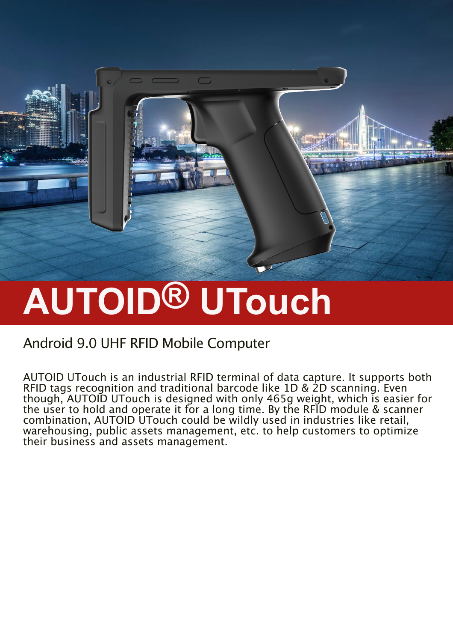

 $\bigcap$ 

### Android 9.0 UHF RFID Mobile Computer

AUTOID UTouch is an industrial RFID terminal of data capture. It supports both RFID tags recognition and traditional barcode like 1D & 2D scanning. Even though, AUTOID UTouch is designed with only 465g weight, which is easier for the user to hold and operate it for a long time. By the RFID module & scanner combination, AUTOID UTouch could be wildly used in industries like retail, warehousing, public assets management, etc. to help customers to optimize their business and assets management.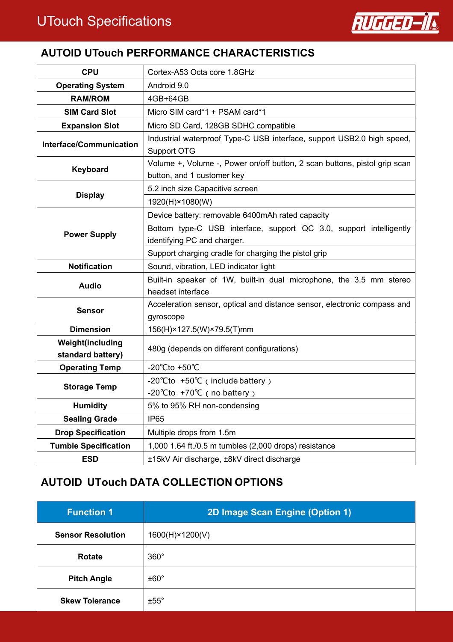

#### **AUTOID UTouch PERFORMANCE CHARACTERISTICS**

| <b>CPU</b>                            | Cortex-A53 Octa core 1.8GHz                                                                             |
|---------------------------------------|---------------------------------------------------------------------------------------------------------|
| <b>Operating System</b>               | Android 9.0                                                                                             |
| <b>RAM/ROM</b>                        | 4GB+64GB                                                                                                |
| <b>SIM Card Slot</b>                  | Micro SIM card*1 + PSAM card*1                                                                          |
| <b>Expansion Slot</b>                 | Micro SD Card, 128GB SDHC compatible                                                                    |
| <b>Interface/Communication</b>        | Industrial waterproof Type-C USB interface, support USB2.0 high speed,<br>Support OTG                   |
| Keyboard                              | Volume +, Volume -, Power on/off button, 2 scan buttons, pistol grip scan<br>button, and 1 customer key |
|                                       | 5.2 inch size Capacitive screen                                                                         |
| <b>Display</b>                        | 1920(H)×1080(W)                                                                                         |
|                                       | Device battery: removable 6400mAh rated capacity                                                        |
|                                       | Bottom type-C USB interface, support QC 3.0, support intelligently                                      |
| <b>Power Supply</b>                   | identifying PC and charger.                                                                             |
|                                       | Support charging cradle for charging the pistol grip                                                    |
| <b>Notification</b>                   | Sound, vibration, LED indicator light                                                                   |
| <b>Audio</b>                          | Built-in speaker of 1W, built-in dual microphone, the 3.5 mm stereo                                     |
|                                       | headset interface                                                                                       |
| <b>Sensor</b>                         | Acceleration sensor, optical and distance sensor, electronic compass and                                |
|                                       | gyroscope                                                                                               |
| <b>Dimension</b>                      | 156(H)×127.5(W)×79.5(T)mm                                                                               |
| Weight(including<br>standard battery) | 480g (depends on different configurations)                                                              |
| <b>Operating Temp</b>                 | -20°Cto +50°C                                                                                           |
|                                       | -20 $^{\circ}$ Cto +50 $^{\circ}$ C (include battery)                                                   |
| <b>Storage Temp</b>                   | -20 $°C$ to +70 $°C$ (no battery)                                                                       |
| <b>Humidity</b>                       | 5% to 95% RH non-condensing                                                                             |
| <b>Sealing Grade</b>                  | <b>IP65</b>                                                                                             |
| <b>Drop Specification</b>             | Multiple drops from 1.5m                                                                                |
| <b>Tumble Specification</b>           | 1,000 1.64 ft./0.5 m tumbles (2,000 drops) resistance                                                   |
| <b>ESD</b>                            | ±15kV Air discharge, ±8kV direct discharge                                                              |

#### **AUTOID UTouch DATA COLLECTION OPTIONS**

| <b>Function 1</b>        | 2D Image Scan Engine (Option 1) |
|--------------------------|---------------------------------|
| <b>Sensor Resolution</b> | 1600(H)×1200(V)                 |
| <b>Rotate</b>            | $360^\circ$                     |
| <b>Pitch Angle</b>       | ±60°                            |
| <b>Skew Tolerance</b>    | $±55^\circ$                     |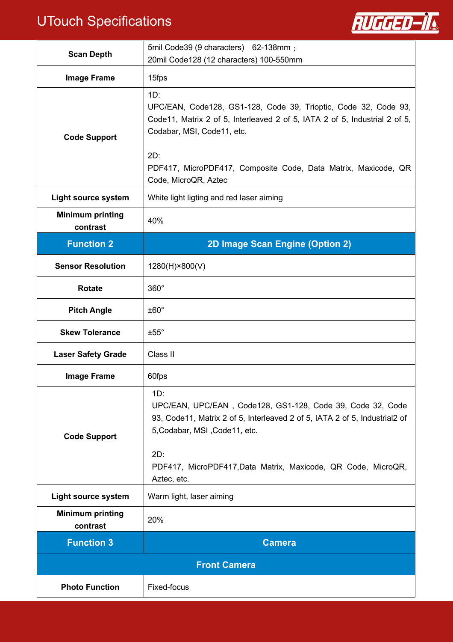# UTouch Specifications



| <b>Scan Depth</b>                   | 5mil Code39 (9 characters) 62-138mm;<br>20mil Code128 (12 characters) 100-550mm                                                                                                                                                                                                        |
|-------------------------------------|----------------------------------------------------------------------------------------------------------------------------------------------------------------------------------------------------------------------------------------------------------------------------------------|
| <b>Image Frame</b>                  | 15fps                                                                                                                                                                                                                                                                                  |
| <b>Code Support</b>                 | $1D$ :<br>UPC/EAN, Code128, GS1-128, Code 39, Trioptic, Code 32, Code 93,<br>Code11, Matrix 2 of 5, Interleaved 2 of 5, IATA 2 of 5, Industrial 2 of 5,<br>Codabar, MSI, Code11, etc.<br>2D:<br>PDF417, MicroPDF417, Composite Code, Data Matrix, Maxicode, QR<br>Code, MicroQR, Aztec |
| <b>Light source system</b>          | White light ligting and red laser aiming                                                                                                                                                                                                                                               |
| <b>Minimum printing</b><br>contrast | 40%                                                                                                                                                                                                                                                                                    |
| <b>Function 2</b>                   | 2D Image Scan Engine (Option 2)                                                                                                                                                                                                                                                        |
| <b>Sensor Resolution</b>            | 1280(H)×800(V)                                                                                                                                                                                                                                                                         |
| <b>Rotate</b>                       | $360^\circ$                                                                                                                                                                                                                                                                            |
| <b>Pitch Angle</b>                  | $±60^{\circ}$                                                                                                                                                                                                                                                                          |
| <b>Skew Tolerance</b>               | $±55^{\circ}$                                                                                                                                                                                                                                                                          |
| <b>Laser Safety Grade</b>           | Class II                                                                                                                                                                                                                                                                               |
| <b>Image Frame</b>                  | 60fps                                                                                                                                                                                                                                                                                  |
| <b>Code Support</b>                 | 1D:<br>UPC/EAN, UPC/EAN, Code128, GS1-128, Code 39, Code 32, Code<br>93, Code11, Matrix 2 of 5, Interleaved 2 of 5, IATA 2 of 5, Industrial2 of<br>5, Codabar, MSI, Code11, etc.<br>2D:<br>PDF417, MicroPDF417, Data Matrix, Maxicode, QR Code, MicroQR,<br>Aztec, etc.                |
| <b>Light source system</b>          | Warm light, laser aiming                                                                                                                                                                                                                                                               |
| <b>Minimum printing</b><br>contrast | 20%                                                                                                                                                                                                                                                                                    |
| <b>Function 3</b>                   | <b>Camera</b>                                                                                                                                                                                                                                                                          |
| <b>Front Camera</b>                 |                                                                                                                                                                                                                                                                                        |
| <b>Photo Function</b>               | Fixed-focus                                                                                                                                                                                                                                                                            |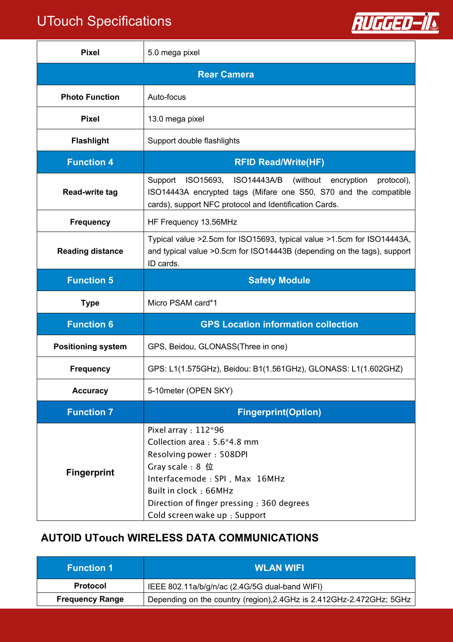## UTouch Specifications



| <b>Pixel</b>              | 5.0 mega pixel                                                                                                                                                                                                                              |
|---------------------------|---------------------------------------------------------------------------------------------------------------------------------------------------------------------------------------------------------------------------------------------|
|                           | <b>Rear Camera</b>                                                                                                                                                                                                                          |
| <b>Photo Function</b>     | Auto-focus                                                                                                                                                                                                                                  |
| <b>Pixel</b>              | 13.0 mega pixel                                                                                                                                                                                                                             |
| <b>Flashlight</b>         | Support double flashlights                                                                                                                                                                                                                  |
| <b>Function 4</b>         | <b>RFID Read/Write(HF)</b>                                                                                                                                                                                                                  |
| <b>Read-write tag</b>     | Support ISO15693, ISO14443A/B<br>(without)<br>encryption<br>protocol),<br>ISO14443A encrypted tags (Mifare one S50, S70 and the compatible<br>cards), support NFC protocol and Identification Cards.                                        |
| <b>Frequency</b>          | HF Frequency 13.56MHz                                                                                                                                                                                                                       |
| <b>Reading distance</b>   | Typical value >2.5cm for ISO15693, typical value >1.5cm for ISO14443A,<br>and typical value >0.5cm for ISO14443B (depending on the tags), support<br>ID cards.                                                                              |
| <b>Function 5</b>         | <b>Safety Module</b>                                                                                                                                                                                                                        |
| <b>Type</b>               | Micro PSAM card*1                                                                                                                                                                                                                           |
| <b>Function 6</b>         | <b>GPS Location information collection</b>                                                                                                                                                                                                  |
| <b>Positioning system</b> | GPS, Beidou, GLONASS(Three in one)                                                                                                                                                                                                          |
| <b>Frequency</b>          | GPS: L1(1.575GHz), Beidou: B1(1.561GHz), GLONASS: L1(1.602GHZ)                                                                                                                                                                              |
| <b>Accuracy</b>           | 5-10meter (OPEN SKY)                                                                                                                                                                                                                        |
| <b>Function 7</b>         | <b>Fingerprint(Option)</b>                                                                                                                                                                                                                  |
| <b>Fingerprint</b>        | Pixel array : 112*96<br>Collection area: 5.6*4.8 mm<br>Resolving power: 508DPI<br>Gray scale: 8 位<br>Interfacemode : SPI, Max 16MHz<br>Built in clock: 66MHz<br>Direction of finger pressing : 360 degrees<br>Cold screen wake up : Support |

#### **AUTOID UTouch WIRELESS DATA COMMUNICATIONS**

| <b>Function 1</b>      | <b>WLAN WIFI</b>                                                         |
|------------------------|--------------------------------------------------------------------------|
| <b>Protocol</b>        | IEEE 802.11a/b/g/n/ac (2.4G/5G dual-band WIFI)                           |
| <b>Frequency Range</b> | Depending on the country (region), 2.4 GHz is 2.412 GHz-2.472 GHz; 5 GHz |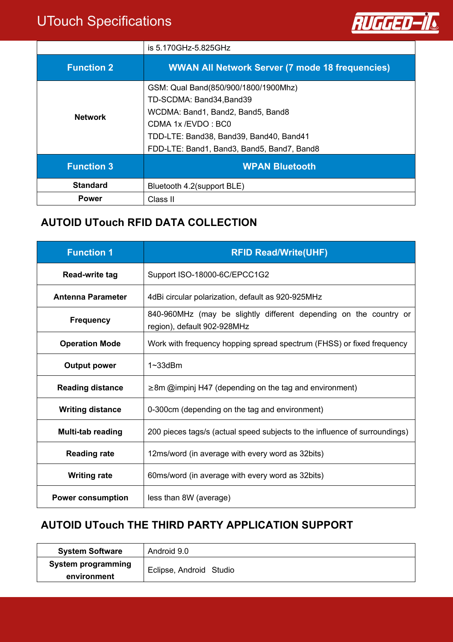### UTouch Specifications



|                   | is 5.170GHz-5.825GHz                                   |
|-------------------|--------------------------------------------------------|
| <b>Function 2</b> | <b>WWAN All Network Server (7 mode 18 frequencies)</b> |
| <b>Network</b>    | GSM: Qual Band(850/900/1800/1900Mhz)                   |
|                   | TD-SCDMA: Band34, Band39                               |
|                   | WCDMA: Band1, Band2, Band5, Band8                      |
|                   | CDMA 1x/EVDO: BC0                                      |
|                   | TDD-LTE: Band38, Band39, Band40, Band41                |
|                   | FDD-LTE: Band1, Band3, Band5, Band7, Band8             |
| <b>Function 3</b> | <b>WPAN Bluetooth</b>                                  |
| <b>Standard</b>   | Bluetooth 4.2(support BLE)                             |
| <b>Power</b>      | Class II                                               |

#### **AUTOID UTouch RFID DATA COLLECTION**

| <b>Function 1</b>        | <b>RFID Read/Write(UHF)</b>                                                                      |
|--------------------------|--------------------------------------------------------------------------------------------------|
| Read-write tag           | Support ISO-18000-6C/EPCC1G2                                                                     |
| <b>Antenna Parameter</b> | 4dBi circular polarization, default as 920-925MHz                                                |
| <b>Frequency</b>         | 840-960MHz (may be slightly different depending on the country or<br>region), default 902-928MHz |
| <b>Operation Mode</b>    | Work with frequency hopping spread spectrum (FHSS) or fixed frequency                            |
| <b>Output power</b>      | $1 \sim 33$ d $Bm$                                                                               |
| <b>Reading distance</b>  | $\geq$ 8m @impinj H47 (depending on the tag and environment)                                     |
| <b>Writing distance</b>  | 0-300cm (depending on the tag and environment)                                                   |
| Multi-tab reading        | 200 pieces tags/s (actual speed subjects to the influence of surroundings)                       |
| <b>Reading rate</b>      | 12ms/word (in average with every word as 32bits)                                                 |
| <b>Writing rate</b>      | 60ms/word (in average with every word as 32bits)                                                 |
| <b>Power consumption</b> | less than 8W (average)                                                                           |

#### **AUTOID UTouch THE THIRD PARTY APPLICATION SUPPORT**

| <b>System Software</b> | Android 9.0             |
|------------------------|-------------------------|
| System programming     | Eclipse, Android Studio |
| environment            |                         |